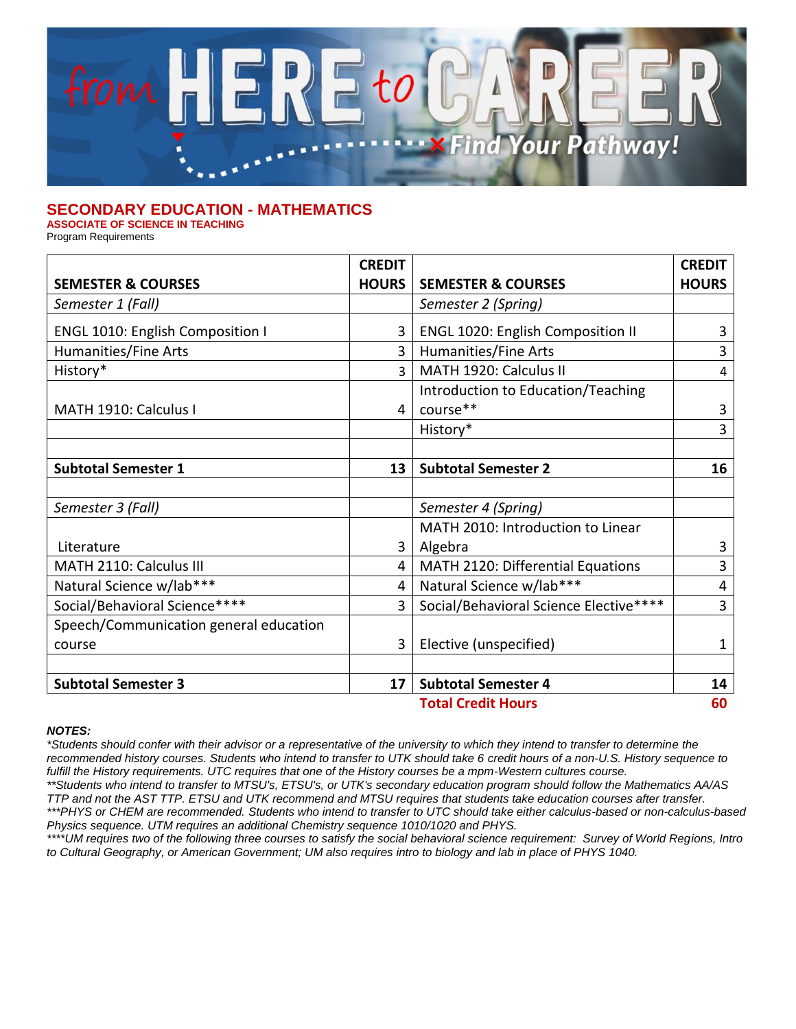

## **SECONDARY EDUCATION - MATHEMATICS**

**ASSOCIATE OF SCIENCE IN TEACHING**

Program Requirements

|                                         | <b>CREDIT</b>  |                                          | <b>CREDIT</b>  |
|-----------------------------------------|----------------|------------------------------------------|----------------|
| <b>SEMESTER &amp; COURSES</b>           | <b>HOURS</b>   | <b>SEMESTER &amp; COURSES</b>            | <b>HOURS</b>   |
| Semester 1 (Fall)                       |                | Semester 2 (Spring)                      |                |
| <b>ENGL 1010: English Composition I</b> | 3              | <b>ENGL 1020: English Composition II</b> | 3              |
| Humanities/Fine Arts                    | $\overline{3}$ | Humanities/Fine Arts                     | 3              |
| History*                                | ς              | MATH 1920: Calculus II                   | 4              |
|                                         |                | Introduction to Education/Teaching       |                |
| MATH 1910: Calculus I                   | 4              | course**                                 | 3              |
|                                         |                | History*                                 | 3              |
|                                         |                |                                          |                |
| <b>Subtotal Semester 1</b>              | 13             | <b>Subtotal Semester 2</b>               | 16             |
|                                         |                |                                          |                |
| Semester 3 (Fall)                       |                | Semester 4 (Spring)                      |                |
|                                         |                | MATH 2010: Introduction to Linear        |                |
| Literature                              | 3              | Algebra                                  | 3              |
| MATH 2110: Calculus III                 | 4              | MATH 2120: Differential Equations        | 3              |
| Natural Science w/lab***                | 4              | Natural Science w/lab***                 | $\overline{4}$ |
| Social/Behavioral Science****           | 3              | Social/Behavioral Science Elective****   | 3              |
| Speech/Communication general education  |                |                                          |                |
| course                                  | 3              | Elective (unspecified)                   | 1              |
|                                         |                |                                          |                |
| <b>Subtotal Semester 3</b>              | 17             | <b>Subtotal Semester 4</b>               | 14             |
| <b>Total Credit Hours</b>               |                |                                          | 60             |

## *NOTES:*

*\*Students should confer with their advisor or a representative of the university to which they intend to transfer to determine the recommended history courses. Students who intend to transfer to UTK should take 6 credit hours of a non-U.S. History sequence to*  fulfill the History requirements. UTC requires that one of the History courses be a mpm-Western cultures course.

*\*\*Students who intend to transfer to MTSU's, ETSU's, or UTK's secondary education program should follow the Mathematics AA/AS TTP and not the AST TTP. ETSU and UTK recommend and MTSU requires that students take education courses after transfer. \*\*\*PHYS or CHEM are recommended. Students who intend to transfer to UTC should take either calculus-based or non-calculus-based* 

*Physics sequence. UTM requires an additional Chemistry sequence 1010/1020 and PHYS.* 

*\*\*\*\*UM requires two of the following three courses to satisfy the social behavioral science requirement: Survey of World Regions, Intro*  to Cultural Geography, or American Government; UM also requires intro to biology and lab in place of PHYS 1040.